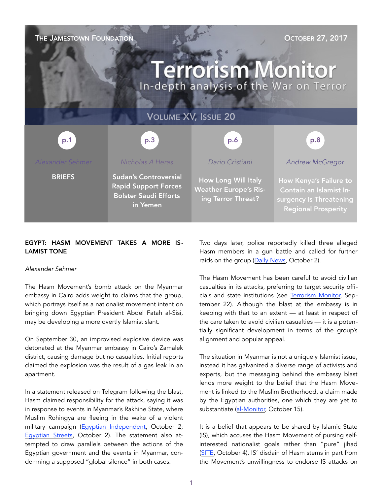

# EGYPT: HASM MOVEMENT TAKES A MORE IS-LAMIST TONE

## *Alexander Sehmer*

The Hasm Movement's bomb attack on the Myanmar embassy in Cairo adds weight to claims that the group, which portrays itself as a nationalist movement intent on bringing down Egyptian President Abdel Fatah al-Sisi, may be developing a more overtly Islamist slant.

On September 30, an improvised explosive device was detonated at the Myanmar embassy in Cairo's Zamalek district, causing damage but no casualties. Initial reports claimed the explosion was the result of a gas leak in an apartment.

In a statement released on Telegram following the blast, Hasm claimed responsibility for the attack, saying it was in response to events in Myanmar's Rakhine State, where Muslim Rohingya are fleeing in the wake of a violent military campaign [\(Egyptian Independent,](http://www.egyptindependent.com/hasm-claims-responsibility-saturdays-attack-targeting-myanmar-embassy/) October 2; [Egyptian Streets,](https://egyptianstreets.com/2017/10/02/hams-claims-responsibility-for-myanmar-embassy-attack-in-cairo/) October 2). The statement also attempted to draw parallels between the actions of the Egyptian government and the events in Myanmar, condemning a supposed "global silence" in both cases.

Two days later, police reportedly killed three alleged Hasm members in a gun battle and called for further raids on the group ([Daily News,](https://dailynewsegypt.com/2017/10/02/police-kills-3-militant-group-members-ministry/) October 2).

The Hasm Movement has been careful to avoid civilian casualties in its attacks, preferring to target security officials and state institutions (see [Terrorism Monitor,](https://jamestown.org/program/is-the-hasm-movement-the-future-of-militancy-in-egypt/) September 22). Although the blast at the embassy is in keeping with that to an extent — at least in respect of the care taken to avoid civilian casualties — it is a potentially significant development in terms of the group's alignment and popular appeal.

The situation in Myanmar is not a uniquely Islamist issue, instead it has galvanized a diverse range of activists and experts, but the messaging behind the embassy blast lends more weight to the belief that the Hasm Movement is linked to the Muslim Brotherhood, a claim made by the Egyptian authorities, one which they are yet to substantiate ([al-Monitor,](https://www.al-monitor.com/pulse/originals/2017/10/egypt-hasm-movement-attacks-local-figures-myanmar-embassy.html) October 15).

It is a belief that appears to be shared by Islamic State (IS), which accuses the Hasm Movement of pursing selfinterested nationalist goals rather than "pure" jihad ([SITE,](https://ent.siteintelgroup.com/Chatter/pro-is-group-publishes-article-slamming-hasam-movement-and-revolutionary-groups-in-egypt.html) October 4). IS' disdain of Hasm stems in part from the Movement's unwillingness to endorse IS attacks on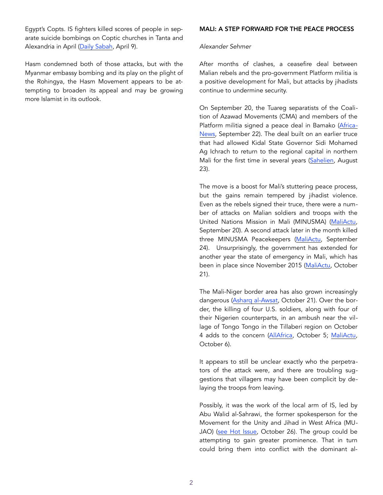Egypt's Copts. IS fighters killed scores of people in separate suicide bombings on Coptic churches in Tanta and Alexandria in April [\(Daily Sabah](https://www.dailysabah.com/mideast/2017/04/09/at-least-40-killed-dozens-injured-in-bomb-attacks-on-egyptian-churches), April 9).

Hasm condemned both of those attacks, but with the Myanmar embassy bombing and its play on the plight of the Rohingya, the Hasm Movement appears to be attempting to broaden its appeal and may be growing more Islamist in its outlook.

## MALI: A STEP FORWARD FOR THE PEACE PROCESS

## *Alexander Sehmer*

After months of clashes, a ceasefire deal between Malian rebels and the pro-government Platform militia is a positive development for Mali, but attacks by jihadists continue to undermine security.

On September 20, the Tuareg separatists of the Coalition of Azawad Movements (CMA) and members of the Platform militia signed a peace deal in Bamako ([Africa](http://www.africanews.com/2017/09/22/mali-s-rival-tuareg-groups-sign-peace-deal-after-years-of-fighting/)-[News,](http://www.africanews.com/2017/09/22/mali-s-rival-tuareg-groups-sign-peace-deal-after-years-of-fighting/) September 22). The deal built on an earlier truce that had allowed Kidal State Governor Sidi Mohamed Ag Ichrach to return to the regional capital in northern Mali for the first time in several years ([Sahelien,](http://sahelien.com/en/mali-sidi-mohamed-ag-ichrach-has-arrived-in-kidal-to-prepare-the-return-of-the-administration/) August 23).

The move is a boost for Mali's stuttering peace process, but the gains remain tempered by jihadist violence. Even as the rebels signed their truce, there were a number of attacks on Malian soldiers and troops with the United Nations Mission in Mali (MINUSMA) ([MaliActu,](http://maliactu.net/mali-un-soldat-tue-dans-une-embuscade-deux-camps-militaires-attaques/) September 20). A second attack later in the month killed three MINUSMA Peacekeepers ([MaliActu,](http://maliactu.net/mali-3-casques-bleus-tues-5-blesses-dans-une-attaque-contre-un-convoi/) September 24). Unsurprisingly, the government has extended for another year the state of emergency in Mali, which has been in place since November 2015 ([MaliActu](http://maliactu.net/letat-durgence-au-mali-proroge-dun-an/), October 21).

The Mali-Niger border area has also grown increasingly dangerous [\(Asharq al-Awsat](https://aawsat.com/english/home/article/1059321/gunmen-kill-12-niger-gendarmes-near-mali-border), October 21). Over the border, the killing of four U.S. soldiers, along with four of their Nigerien counterparts, in an ambush near the village of Tongo Tongo in the Tillaberi region on October 4 adds to the concern ([AllAfrica,](http://allafrica.com/stories/201710060123.html) October 5; [MaliActu,](http://maliactu.net/embuscade-meurtriere-au-niger-un-4e-soldat-americain-retrouve-mort/) October 6).

It appears to still be unclear exactly who the perpetrators of the attack were, and there are troubling suggestions that villagers may have been complicit by delaying the troops from leaving.

Possibly, it was the work of the local arm of IS, led by Abu Walid al-Sahrawi, the former spokesperson for the Movement for the Unity and Jihad in West Africa (MUJAO) ([see Hot Issue,](https://jamestown.org/program/attack-u-s-special-forces-niger-preliminary-assessment/) October 26). The group could be attempting to gain greater prominence. That in turn could bring them into conflict with the dominant al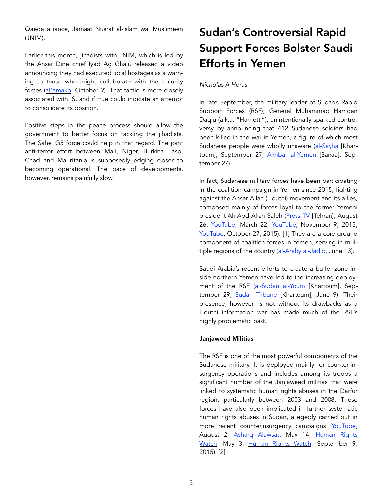Qaeda alliance, Jamaat Nusrat al-Islam wal Muslimeen (JNIM).

Earlier this month, jihadists with JNIM, which is led by the Ansar Dine chief Iyad Ag Ghali, released a video announcing they had executed local hostages as a warning to those who might collaborate with the security forces ([aBamako,](http://news.abamako.com/h/171532.html) October 9). That tactic is more closely associated with IS, and if true could indicate an attempt to consolidate its position.

Positive steps in the peace process should allow the government to better focus on tackling the jihadists. The Sahel G5 force could help in that regard. The joint anti-terror effort between Mali, Niger, Burkina Faso, Chad and Mauritania is supposedly edging closer to becoming operational. The pace of developments, however, remains painfully slow.

# Sudan's Controversial Rapid Support Forces Bolster Saudi Efforts in Yemen

## *Nicholas A Heras*

In late September, the military leader of Sudan's Rapid Support Forces (RSF), General Muhammad Hamdan Daqlu (a.k.a. "Hametti"), unintentionally sparked controversy by announcing that 412 Sudanese soldiers had been killed in the war in Yemen, a figure of which most Sudanese people were wholly unaware [\(al-Sayha](http://www.alnilin.com/12891788.htm) [Khar-toum], September 27; [Akhbar al-Yemen](https://www.yemenakhbar.com/1081909) [Sanaa], September 27).

In fact, Sudanese military forces have been participating in the coalition campaign in Yemen since 2015, fighting against the Ansar Allah (Houthi) movement and its allies, composed mainly of forces loyal to the former Yemeni president Ali Abd-Allah Saleh ([Press TV](http://www.presstv.com/Detail/2017/08/26/532964/Sudan-more-soldiers-Yemen-Aden) [Tehran], August 26; [YouTube](https://www.youtube.com/watch?v=GYnLFo4fCdY), March 22; [YouTube,](https://www.youtube.com/watch?v=HMHsBZ06ZHk) November 9, 2015; [YouTube,](https://www.youtube.com/watch?v=bO8e9eYYoBA) October 27, 2015). [1] They are a core ground component of coalition forces in Yemen, serving in multiple regions of the country ([al-Araby al-Jadid,](https://www.alaraby.co.uk/english/news/2017/6/13/sudan-to-deploy-more-troops-to-fight-yemen-war) June 13).

Saudi Arabia's recent efforts to create a buffer zone inside northern Yemen have led to the increasing deployment of the RSF ([al-Sudan al-Youm](http://alsudanalyoum.com/2017/09/29/%D8%B9%D8%B1%D8%A8%D9%8A21-%D9%87%D9%84-%D8%A8%D8%AF%D8%A3-%D8%A7%D9%84%D8%B3%D9%88%D8%AF%D8%A7%D9%86-%D8%A8%D8%B9%D9%85%D9%84%D9%8A%D8%A9-%D8%AC%D8%B1%D8%AF-%D9%85%D8%B4%D8%A7%D8%B1%D9%83%D8%AA/) [Khartoum], September 29; [Sudan Tribune](http://www.sudantribune.com/spip.php?article62681) [Khartoum], June 9). Their presence, however, is not without its drawbacks as a Houthi information war has made much of the RSF's highly problematic past.

## Janjaweed Militias

The RSF is one of the most powerful components of the Sudanese military. It is deployed mainly for counter-insurgency operations and includes among its troops a significant number of the Janjaweed militias that were linked to systematic human rights abuses in the Darfur region, particularly between 2003 and 2008. These forces have also been implicated in further systematic human rights abuses in Sudan, allegedly carried out in more recent counterinsurgency campaigns ([YouTube,](https://www.youtube.com/watch?v=U043Ucrt9QQ) August 2; [Asharq Alawsat,](https://english.aawsat.com/ahmedyounis/news-middle-east/sudanese-president-orders-rsf-handle-mercenaries-insurgents) May 14; [Human Rights](https://www.hrw.org/news/2017/05/03/us-prioritize-rights-sudan-evaluation)  [Watch,](https://www.hrw.org/news/2017/05/03/us-prioritize-rights-sudan-evaluation) May 3; [Human Rights Watch,](https://www.hrw.org/report/2015/09/09/men-no-mercy/rapid-support-forces-attacks-against-civilians-darfur-sudan) September 9, 2015). [2]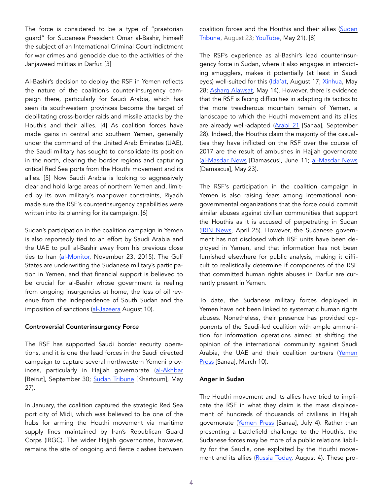The force is considered to be a type of "praetorian guard" for Sudanese President Omar al-Bashir, himself the subject of an International Criminal Court indictment for war crimes and genocide due to the activities of the Janjaweed militias in Darfur. [3]

Al-Bashir's decision to deploy the RSF in Yemen reflects the nature of the coalition's counter-insurgency campaign there, particularly for Saudi Arabia, which has seen its southwestern provinces become the target of debilitating cross-border raids and missile attacks by the Houthis and their allies. [4] As coalition forces have made gains in central and southern Yemen, generally under the command of the United Arab Emirates (UAE), the Saudi military has sought to consolidate its position in the north, clearing the border regions and capturing critical Red Sea ports from the Houthi movement and its allies. [5] Now Saudi Arabia is looking to aggressively clear and hold large areas of northern Yemen and, limited by its own military's manpower constraints, Riyadh made sure the RSF's counterinsurgency capabilities were written into its planning for its campaign. [6]

Sudan's participation in the coalition campaign in Yemen is also reportedly tied to an effort by Saudi Arabia and the UAE to pull al-Bashir away from his previous close ties to Iran ([al-Monitor,](http://www.al-monitor.com/pulse/ru/originals/2015/11/sudan-saudi-arabia-war-yemen-houthi-economy.html) November 23, 2015). The Gulf States are underwriting the Sudanese military's participation in Yemen, and that financial support is believed to be crucial for al-Bashir whose government is reeling from ongoing insurgencies at home, the loss of oil revenue from the independence of South Sudan and the imposition of sanctions ([al-Jazeera](http://www.aljazeera.net/knowledgegate/opinions/2017/8/10/%D8%A7%D9%84%D8%AC%D9%8A%D8%B4-%D8%A7%D9%84%D8%B3%D9%88%D8%AF%D8%A7%D9%86%D9%8A-%D9%81%D9%8A-%D8%A7%D9%84%D9%8A%D9%85%D9%86-%D8%A3%D9%88%D8%A7%D9%86-%D8%A7%D9%84%D8%B1%D8%AD%D9%8A%D9%84) August 10).

## Controversial Counterinsurgency Force

The RSF has supported Saudi border security operations, and it is one the lead forces in the Saudi directed campaign to capture several northwestern Yemeni prov-inces, particularly in Hajjah governorate [\(al-Akhbar](http://al-akhbar.com/node/284064) [Beirut], September 30; [Sudan Tribune](http://www.sudantribune.com/spip.php?article62567) [Khartoum], May 27).

In January, the coalition captured the strategic Red Sea port city of Midi, which was believed to be one of the hubs for arming the Houthi movement via maritime supply lines maintained by Iran's Republican Guard Corps (IRGC). The wider Hajjah governorate, however, remains the site of ongoing and fierce clashes between

coalition forces and the Houthis and their allies ([Sudan](http://www.sudantribune.net/%D8%B9%D9%86%D8%AF%D9%85%D8%A7-%D8%AA%D8%B5%D9%86%D8%B9-%D8%A7%D9%84%D8%AD%D9%83%D9%88%D9%85%D8%A9-%D8%A7%D9%84%D9%85%D8%B1%D9%8E%D8%AF%D9%8E%D8%A9-%D9%88%D8%AA%D9%81%D8%B4%D9%84-%D9%81%D9%8A)  [Tribune,](http://www.sudantribune.net/%D8%B9%D9%86%D8%AF%D9%85%D8%A7-%D8%AA%D8%B5%D9%86%D8%B9-%D8%A7%D9%84%D8%AD%D9%83%D9%88%D9%85%D8%A9-%D8%A7%D9%84%D9%85%D8%B1%D9%8E%D8%AF%D9%8E%D8%A9-%D9%88%D8%AA%D9%81%D8%B4%D9%84-%D9%81%D9%8A) August 23; [YouTube,](https://www.youtube.com/watch?v=Os6xw9oOzXo) May 21). [8]

The RSF's experience as al-Bashir's lead counterinsurgency force in Sudan, where it also engages in interdicting smugglers, makes it potentially (at least in Saudi eyes) well-suited for this [\(Ida'at](https://www.ida2at.com/swat-forces-albasheer-yemen/), August 17; [Xinhua,](http://news.xinhuanet.com/english/2017-05/28/c_136322793.htm) May 28; [Asharq Alawsat,](https://aawsat.com/home/article/925721/%D8%A7%D9%84%D8%B3%D9%88%D8%AF%D8%A7%D9%86-%D8%A3%D9%88%D8%A7%D9%85%D8%B1-%D8%B1%D8%A6%D8%A7%D8%B3%D9%8A%D8%A9-%D9%84%D9%82%D9%88%D8%A7%D8%AA-%C2%AB%D8%A7%D9%84%D8%AF%D8%B9%D9%85-%D8%A7%D9%84%D8%B3%D8%B1%D9%8A%D8%B9%C2%BB-%D9%84%D8%AD%D8%B3%D9%85-%D8%A7%D9%84%D8%AA%D9%85%D8%B1%D8%AF) May 14). However, there is evidence that the RSF is facing difficulties in adapting its tactics to the more treacherous mountain terrain of Yemen, a landscape to which the Houthi movement and its allies are already well-adapted ([Arabi 21](http://arabi21.com/story/1037579/%D9%87%D9%84-%D8%A8%D8%AF%D8%A3%D8%AA-%D8%A7%D9%84%D8%B3%D9%88%D8%AF%D8%A7%D9%86-%D8%A8%D8%B9%D9%85%D9%84%D9%8A%D8%A9-%D8%AC%D8%B1%D8%AF-%D9%85%D8%B4%D8%A7%D8%B1%D9%83%D8%AA%D9%87%D8%A7-%D9%81%D9%8A-%D8%AD%D8%B1%D8%A8-%D8%A7%D9%84%D9%8A%D9%85%D9%86) [Sanaa], September 28). Indeed, the Houthis claim the majority of the casualties they have inflicted on the RSF over the course of 2017 are the result of ambushes in Hajjah governorate ([al-Masdar News](https://www.almasdarnews.com/article/sudan-plans-send-additional-forces-yemen-amid-heavy-casualties/) [Damascus], June 11; [al-Masdar News](https://mobile.almasdarnews.com/article/graphic-pictures-yemeni-troops-annihilate-entire-sudanese-contingent-paid-saudi-arabia/) [Damascus], May 23).

The RSF's participation in the coalition campaign in Yemen is also raising fears among international nongovernmental organizations that the force could commit similar abuses against civilian communities that support the Houthis as it is accused of perpetrating in Sudan ([IRIN News,](https://www.irinnews.org/news/2017/04/25/threatened-attack-yemen-port-will-trigger-catastrophe-aid-groups-warn) April 25). However, the Sudanese government has not disclosed which RSF units have been deployed in Yemen, and that information has not been furnished elsewhere for public analysis, making it difficult to realistically determine if components of the RSF that committed human rights abuses in Darfur are currently present in Yemen.

To date, the Sudanese military forces deployed in Yemen have not been linked to systematic human rights abuses. Nonetheless, their presence has provided opponents of the Saudi-led coalition with ample ammunition for information operations aimed at shifting the opinion of the international community against Saudi Arabia, the UAE and their coalition partners ([Yemen](https://yemen-press.com/mobile/news93038.html)  [Press](https://yemen-press.com/mobile/news93038.html) [Sanaa], March 10).

# Anger in Sudan

The Houthi movement and its allies have tried to implicate the RSF in what they claim is the mass displacement of hundreds of thousands of civilians in Hajjah governorate ([Yemen Press](http://www.yemenpress.org/yemen/he-visits-harad-and-midi-and-writes-this-is-one-of-the-biggest-crimes-saudi-arabia-forgotten-in-yemen.html) [Sanaa], July 4). Rather than presenting a battlefield challenge to the Houthis, the Sudanese forces may be more of a public relations liability for the Saudis, one exploited by the Houthi move-ment and its allies ([Russia Today,](https://arabic.rt.com/middle_east/892175-%D8%A7%D9%84%D8%AD%D9%88%D8%AB%D9%8A-%D9%8A%D8%AA%D9%88%D8%B9%D8%AF-%D9%82%D9%88%D8%A7%D8%AA-%D8%A7%D9%84%D8%AF%D8%B9%D9%85-%D8%A7%D9%84%D8%B3%D8%B1%D9%8A%D8%B9-%D8%A7%D9%84%D8%B3%D9%88%D8%AF%D8%A7%D9%86%D9%8A%D8%A9-%D8%A8%D8%A7%D9%84%D8%A5%D8%A8%D8%A7%D8%AF%D8%A9/) August 4). These pro-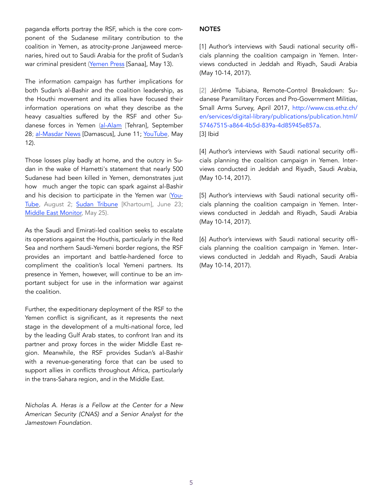paganda efforts portray the RSF, which is the core component of the Sudanese military contribution to the coalition in Yemen, as atrocity-prone Janjaweed mercenaries, hired out to Saudi Arabia for the profit of Sudan's war criminal president [\(Yemen Press](http://www.yemenpress.org/yemen/sudanese-as-cheap-mercenaries-and-scapegoat-for-the-emirate-and-saudi-defeats-in-yemen.html) [Sanaa], May 13).

The information campaign has further implications for both Sudan's al-Bashir and the coalition leadership, as the Houthi movement and its allies have focused their information operations on what they describe as the heavy casualties suffered by the RSF and other Sudanese forces in Yemen ([al-Alam](http://en.alalam.ir/news/3060126/Over-400-Sudanese-servicemen-killed-in-Saudi-led-war-on-Yemen) [Tehran], September 28; [al-Masdar News](https://www.almasdarnews.com/article/sudan-plans-send-additional-forces-yemen-amid-heavy-casualties/) [Damascus], June 11; [YouTube,](https://www.youtube.com/watch?v=j5HH-rSmUAY) May 12).

Those losses play badly at home, and the outcry in Sudan in the wake of Hametti's statement that nearly 500 Sudanese had been killed in Yemen, demonstrates just how much anger the topic can spark against al-Bashir and his decision to participate in the Yemen war [\(You](https://www.youtube.com/watch?v=WAWC2zDCcUs&t=11s)-[Tube](https://www.youtube.com/watch?v=WAWC2zDCcUs&t=11s), August 2; [Sudan Tribune](http://talkofsudan.com/al-bashir-visits-grave-of-sudanese-troops-killed-in-yemen/) [Khartoum], June 23; [Middle East Monitor,](https://www.middleeastmonitor.com/20170525-sudan-military-rejects-claims-of-heavy-losses-in-yemen/) May 25).

As the Saudi and Emirati-led coalition seeks to escalate its operations against the Houthis, particularly in the Red Sea and northern Saudi-Yemeni border regions, the RSF provides an important and battle-hardened force to compliment the coalition's local Yemeni partners. Its presence in Yemen, however, will continue to be an important subject for use in the information war against the coalition.

Further, the expeditionary deployment of the RSF to the Yemen conflict is significant, as it represents the next stage in the development of a multi-national force, led by the leading Gulf Arab states, to confront Iran and its partner and proxy forces in the wider Middle East region. Meanwhile, the RSF provides Sudan's al-Bashir with a revenue-generating force that can be used to support allies in conflicts throughout Africa, particularly in the trans-Sahara region, and in the Middle East.

*Nicholas A. Heras is a Fellow at the Center for a New American Security (CNAS) and a Senior Analyst for the Jamestown Foundation.* 

# **NOTES**

[1] Author's interviews with Saudi national security officials planning the coalition campaign in Yemen. Interviews conducted in Jeddah and Riyadh, Saudi Arabia (May 10-14, 2017).

[2] Jérôme Tubiana, Remote-Control Breakdown: Sudanese Paramilitary Forces and Pro-Government Militias, Small Arms Survey, April 2017, [http://www.css.ethz.ch/](http://www.css.ethz.ch/en/services/digital-library/publications/publication.html/57467515-a864-4b5d-839a-4d85945e857a) [en/services/digital-library/publications/publication.html/](http://www.css.ethz.ch/en/services/digital-library/publications/publication.html/57467515-a864-4b5d-839a-4d85945e857a) [57467515-a864-4b5d-839a-4d85945e857a.](http://www.css.ethz.ch/en/services/digital-library/publications/publication.html/57467515-a864-4b5d-839a-4d85945e857a) [3] Ibid

[4] Author's interviews with Saudi national security officials planning the coalition campaign in Yemen. Interviews conducted in Jeddah and Riyadh, Saudi Arabia, (May 10-14, 2017).

[5] Author's interviews with Saudi national security officials planning the coalition campaign in Yemen. Interviews conducted in Jeddah and Riyadh, Saudi Arabia (May 10-14, 2017).

[6] Author's interviews with Saudi national security officials planning the coalition campaign in Yemen. Interviews conducted in Jeddah and Riyadh, Saudi Arabia (May 10-14, 2017).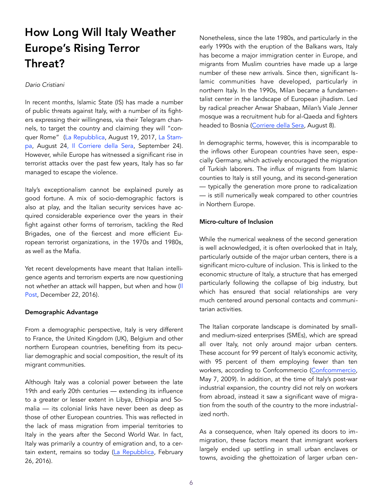# How Long Will Italy Weather Europe's Rising Terror Threat?

## *Dario Cristiani*

In recent months, Islamic State (IS) has made a number of public threats against Italy, with a number of its fighters expressing their willingness, via their Telegram channels, to target the country and claiming they will "conquer Rome" [\(La Repubblica,](http://www.repubblica.it/cronaca/2017/08/19/news/paura_terrorismo_espulsi_dall_italia_due_marocchini_e_un_siriano-173367567/) August 19, 2017, [La Stam](http://www.lastampa.it/2017/08/24/esteri/isis-fa-un-nuovo-appello-ai-lupi-solitari-attaccare-in-italia-YANLcoldFjdKUR45L6DB3K/pagina.html)[pa](http://www.lastampa.it/2017/08/24/esteri/isis-fa-un-nuovo-appello-ai-lupi-solitari-attaccare-in-italia-YANLcoldFjdKUR45L6DB3K/pagina.html), August 2[4, Il Corriere della Sera](http://www.corriere.it/video-articoli/2017/09/24/isis-torna-farsi-viva-libia-minacce-all-italia/f79384dc-a165-11e7-97ce-75ed55d84d04.shtml), September 24). However, while Europe has witnessed a significant rise in terrorist attacks over the past few years, Italy has so far managed to escape the violence.

Italy's exceptionalism cannot be explained purely as good fortune. A mix of socio-demographic factors is also at play, and the Italian security services have acquired considerable experience over the years in their fight against other forms of terrorism, tackling the Red Brigades, one of the fiercest and more efficient European terrorist organizations, in the 1970s and 1980s, as well as the Mafia.

Yet recent developments have meant that Italian intelligence agents and terrorism experts are now questioning not *whether* an attack will happen, but when and how ([Il](http://www.ilpost.it/2016/12/22/terrorismo-jihad-isis-italia/)  [Post](http://www.ilpost.it/2016/12/22/terrorismo-jihad-isis-italia/), December 22, 2016).

## Demographic Advantage

From a demographic perspective, Italy is very different to France, the United Kingdom (UK), Belgium and other northern European countries, benefiting from its peculiar demographic and social composition, the result of its migrant communities.

Although Italy was a colonial power between the late 19th and early 20th centuries — extending its influence to a greater or lesser extent in Libya, Ethiopia and Somalia — its colonial links have never been as deep as those of other European countries. This was reflected in the lack of mass migration from imperial territories to Italy in the years after the Second World War. In fact, Italy was primarily a country of emigration and, to a certain extent, remains so today ([La Repubblica](http://www.repubblica.it/scuola/2016/01/25/news/mappa_cervelli_in_fuga-134098899/), February 26, 2016).

Nonetheless, since the late 1980s, and particularly in the early 1990s with the eruption of the Balkans wars, Italy has become a major immigration center in Europe, and migrants from Muslim countries have made up a large number of these new arrivals. Since then, significant Islamic communities have developed, particularly in northern Italy. In the 1990s, Milan became a fundamentalist center in the landscape of European jihadism. Led by radical preacher Anwar Shabaan, Milan's Viale Jenner mosque was a recruitment hub for al-Qaeda and fighters headed to Bosnia ([Corriere della Sera](http://milano.corriere.it/notizie/cronaca/16_agosto_08/imam-mujaheddin-martiri-origini-radicalismo-analisi-2681b244-5d2b-11e6-bfed-33aa6b5e1635.shtml), August 8).

In demographic terms, however, this is incomparable to the inflows other European countries have seen, especially Germany, which actively encouraged the migration of Turkish laborers. The influx of migrants from Islamic counties to Italy is still young, and its second-generation — typically the generation more prone to radicalization — is still numerically weak compared to other countries in Northern Europe.

## Micro-culture of Inclusion

While the numerical weakness of the second generation is well acknowledged, it is often overlooked that in Italy, particularly outside of the major urban centers, there is a significant micro-culture of inclusion. This is linked to the economic structure of Italy, a structure that has emerged particularly following the collapse of big industry, but which has ensured that social relationships are very much centered around personal contacts and communitarian activities.

The Italian corporate landscape is dominated by smalland medium-sized enterprises (SMEs), which are spread all over Italy, not only around major urban centers. These account for 99 percent of Italy's economic activity, with 95 percent of them employing fewer than ten workers, according to Confcommercio ([Confcommercio,](http://www.confcommercio.it/-/le-piccole-e-medie-imprese-in-italia) May 7, 2009). In addition, at the time of Italy's post-war industrial expansion, the country did not rely on workers from abroad, instead it saw a significant wave of migration from the south of the country to the more industrialized north.

As a consequence, when Italy opened its doors to immigration, these factors meant that immigrant workers largely ended up settling in small urban enclaves or towns, avoiding the ghettoization of larger urban cen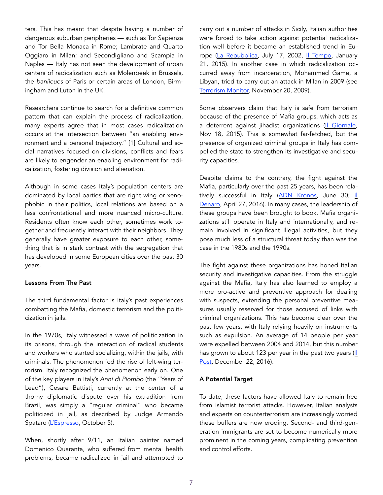ters. This has meant that despite having a number of dangerous suburban peripheries — such as Tor Sapienza and Tor Bella Monaca in Rome; Lambrate and Quarto Oggiaro in Milan; and Secondigliano and Scampia in Naples — Italy has not seen the development of urban centers of radicalization such as Molenbeek in Brussels, the *banlieues* of Paris or certain areas of London, Birmingham and Luton in the UK.

Researchers continue to search for a definitive common pattern that can explain the process of radicalization, many experts agree that in most cases radicalization occurs at the intersection between "an enabling environment and a personal trajectory." [1] Cultural and social narratives focused on divisions, conflicts and fears are likely to engender an enabling environment for radicalization, fostering division and alienation.

Although in some cases Italy's population centers are dominated by local parties that are right wing or xenophobic in their politics, local relations are based on a less confrontational and more nuanced micro-culture. Residents often know each other, sometimes work together and frequently interact with their neighbors. They generally have greater exposure to each other, something that is in stark contrast with the segregation that has developed in some European cities over the past 30 years.

#### Lessons From The Past

The third fundamental factor is Italy's past experiences combatting the Mafia, domestic terrorism and the politicization in jails.

In the 1970s, Italy witnessed a wave of politicization in its prisons, through the interaction of radical students and workers who started socializing, within the jails, with criminals. The phenomenon fed the rise of left-wing terrorism. Italy recognized the phenomenon early on. One of the key players in Italy's *Anni di Piombo* (the "Years of Lead"), Cesare Battisti, currently at the center of a thorny diplomatic dispute over his extradition from Brazil, was simply a "regular criminal" who became politicized in jail, as described by Judge Armando Spataro ([L'Espresso,](http://espresso.repubblica.it/internazionale/2017/10/05/news/cesare-battisti-quel-terrorista-e-assassino-sempre-protetto-dai-potenti-1.311478?ref=HEF_RULLO) October 5).

When, shortly after 9/11, an Italian painter named Domenico Quaranta, who suffered from mental health problems, became radicalized in jail and attempted to

carry out a number of attacks in Sicily, Italian authorities were forced to take action against potential radicalization well before it became an established trend in Europe ([La Repubblica,](http://www.repubblica.it/online/cronaca/metromilano/arresto/arresto.html) July 17, 2002, [Il Tempo,](http://www.iltempo.it/politica/2015/01/21/news/dall11-settembre-piu-di-venti-attentati-965912/) January 21, 2015). In another case in which radicalization occurred away from incarceration, Mohammed Game, a Libyan, tried to carry out an attack in Milan in 2009 (see [Terrorism Monitor,](https://jamestown.org/program/a-shift-in-terrorist-strategy-threatens-italian-national-security/) November 20, 2009).

Some observers claim that Italy is safe from terrorism because of the presence of Mafia groups, which acts as a deterrent against jihadist organizations ([Il Giornale,](http://www.ilgiornale.it/news/litalia-si-protegge-dai-terroristi-mafia-1195820.html) Nov 18, 2015). This is somewhat far-fetched, but the presence of organized criminal groups in Italy has compelled the state to strengthen its investigative and security capacities.

Despite claims to the contrary, the fight against the Mafia, particularly over the past 25 years, has been relatively successful in Italy ([ADN Kronos,](http://www.adnkronos.com/fatti/cronaca/2017/06/30/grasso-mafia-stragista-non-esiste-piu_l1qMhBSU1vdvWYDLqKr4PI.html) June 30; [il](http://ildenaro.it/news/93-cronache/69481/camorra-cantone-in-campania-si-e-indebolita-ma-e-aumentata-la-violenza-della-sua-azione)  [Denaro,](http://ildenaro.it/news/93-cronache/69481/camorra-cantone-in-campania-si-e-indebolita-ma-e-aumentata-la-violenza-della-sua-azione) April 27, 2016). In many cases, the leadership of these groups have been brought to book. Mafia organizations still operate in Italy and internationally, and remain involved in significant illegal activities, but they pose much less of a structural threat today than was the case in the 1980s and the 1990s.

The fight against these organizations has honed Italian security and investigative capacities. From the struggle against the Mafia, Italy has also learned to employ a more pro-active and preventive approach for dealing with suspects, extending the personal preventive measures usually reserved for those accused of links with criminal organizations. This has become clear over the past few years, with Italy relying heavily on instruments such as expulsion. An average of 14 people per year were expelled between 2004 and 2014, but this number has grown to about 123 per year in the past two years (II [Post,](http://www.ilpost.it/2016/12/22/terrorismo-jihad-isis-italia/) December 22, 2016).

## A Potential Target

To date, these factors have allowed Italy to remain free from Islamist terrorist attacks. However, Italian analysts and experts on counterterrorism are increasingly worried these buffers are now eroding. Second- and third-generation immigrants are set to become numerically more prominent in the coming years, complicating prevention and control efforts.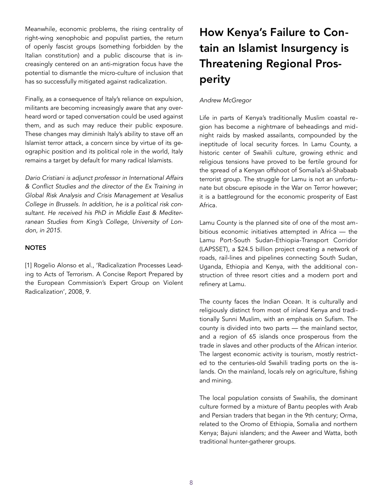Meanwhile, economic problems, the rising centrality of right-wing xenophobic and populist parties, the return of openly fascist groups (something forbidden by the Italian constitution) and a public discourse that is increasingly centered on an anti-migration focus have the potential to dismantle the micro-culture of inclusion that has so successfully mitigated against radicalization.

Finally, as a consequence of Italy's reliance on expulsion, militants are becoming increasingly aware that any overheard word or taped conversation could be used against them, and as such may reduce their public exposure. These changes may diminish Italy's ability to stave off an Islamist terror attack, a concern since by virtue of its geographic position and its political role in the world, Italy remains a target by default for many radical Islamists.

*Dario Cristiani is adjunct professor in International Affairs & Conflict Studies and the director of the Ex Training in Global Risk Analysis and Crisis Management at Vesalius College in Brussels. In addition, he is a political risk consultant. He received his PhD in Middle East & Mediterranean Studies from King's College, University of London, in 2015.* 

## **NOTES**

[1] Rogelio Alonso et al., 'Radicalization Processes Leading to Acts of Terrorism. A Concise Report Prepared by the European Commission's Expert Group on Violent Radicalization', 2008, 9.

# How Kenya's Failure to Contain an Islamist Insurgency is Threatening Regional Prosperity

## *Andrew McGregor*

Life in parts of Kenya's traditionally Muslim coastal region has become a nightmare of beheadings and midnight raids by masked assailants, compounded by the ineptitude of local security forces. In Lamu County, a historic center of Swahili culture, growing ethnic and religious tensions have proved to be fertile ground for the spread of a Kenyan offshoot of Somalia's al-Shabaab terrorist group. The struggle for Lamu is not an unfortunate but obscure episode in the War on Terror however; it is a battleground for the economic prosperity of East Africa.

Lamu County is the planned site of one of the most ambitious economic initiatives attempted in Africa — the Lamu Port-South Sudan-Ethiopia-Transport Corridor (LAPSSET), a \$24.5 billion project creating a network of roads, rail-lines and pipelines connecting South Sudan, Uganda, Ethiopia and Kenya, with the additional construction of three resort cities and a modern port and refinery at Lamu.

The county faces the Indian Ocean. It is culturally and religiously distinct from most of inland Kenya and traditionally Sunni Muslim, with an emphasis on Sufism. The county is divided into two parts — the mainland sector, and a region of 65 islands once prosperous from the trade in slaves and other products of the African interior. The largest economic activity is tourism, mostly restricted to the centuries-old Swahili trading ports on the islands. On the mainland, locals rely on agriculture, fishing and mining.

The local population consists of Swahilis, the dominant culture formed by a mixture of Bantu peoples with Arab and Persian traders that began in the 9th century; Orma, related to the Oromo of Ethiopia, Somalia and northern Kenya; Bajuni islanders; and the Aweer and Watta, both traditional hunter-gatherer groups.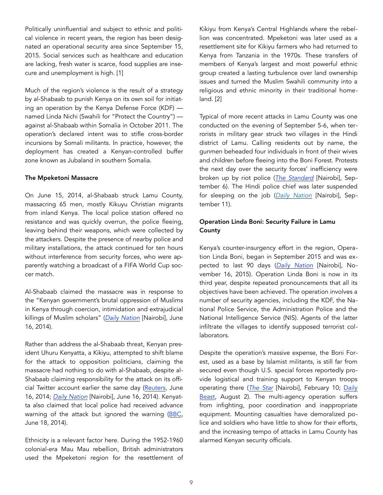Politically uninfluential and subject to ethnic and political violence in recent years, the region has been designated an operational security area since September 15, 2015. Social services such as healthcare and education are lacking, fresh water is scarce, food supplies are insecure and unemployment is high. [1]

Much of the region's violence is the result of a strategy by al-Shabaab to punish Kenya on its own soil for initiating an operation by the Kenya Defense Force (KDF) named Linda Nichi (Swahili for "Protect the Country") against al-Shabaab within Somalia in October 2011. The operation's declared intent was to stifle cross-border incursions by Somali militants. In practice, however, the deployment has created a Kenyan-controlled buffer zone known as Jubaland in southern Somalia.

#### The Mpeketoni Massacre

On June 15, 2014, al-Shabaab struck Lamu County, massacring 65 men, mostly Kikuyu Christian migrants from inland Kenya. The local police station offered no resistance and was quickly overrun, the police fleeing, leaving behind their weapons, which were collected by the attackers. Despite the presence of nearby police and military installations, the attack continued for ten hours without interference from security forces, who were apparently watching a broadcast of a FIFA World Cup soccer match.

Al-Shabaab claimed the massacre was in response to the "Kenyan government's brutal oppression of Muslims in Kenya through coercion, intimidation and extrajudicial killings of Muslim scholars" (*[Daily Nation](http://www.nation.co.ke/news/Mpeketoni-Lamu-Attack-Terrorism-Coast/-/1056/2351072/-/6jhh64/-/index.html)* [Nairobi], June 16, 2014).

Rather than address the al-Shabaab threat, Kenyan president Uhuru Kenyatta, a Kikiyu, attempted to shift blame for the attack to opposition politicians, claiming the massacre had nothing to do with al-Shabaab, despite al-Shabaab claiming responsibility for the attack on its offi-cial Twitter account earlier the same day [\(Reuters,](https://www.reuters.com/article/uk-kenya-attacks/islamist-militants-kill-eight-more-in-new-attack-on-kenya-coast-idUKKBN0ES0IS20140617) June 16, 2014; *[Daily Nation](http://www.nation.co.ke/news/Security-Al-Shabaab-Mpeketoni-Lamu-Attack/1056-2351062-n2wvds/index.html)* [Nairobi], June 16, 2014). Kenyatta also claimed that local police had received advance warning of the attack but ignored the warning [\(BBC,](http://www.bbc.com/news/world-africa-27882084) June 18, 2014).

Ethnicity is a relevant factor here. During the 1952-1960 colonial-era Mau Mau rebellion, British administrators used the Mpeketoni region for the resettlement of Kikiyu from Kenya's Central Highlands where the rebellion was concentrated. Mpeketoni was later used as a resettlement site for Kikiyu farmers who had returned to Kenya from Tanzania in the 1970s. These transfers of members of Kenya's largest and most powerful ethnic group created a lasting turbulence over land ownership issues and turned the Muslim Swahili community into a religious and ethnic minority in their traditional homeland. [2]

Typical of more recent attacks in Lamu County was one conducted on the evening of September 5-6, when terrorists in military gear struck two villages in the Hindi district of Lamu. Calling residents out by name, the gunmen beheaded four individuals in front of their wives and children before fleeing into the Boni Forest. Protests the next day over the security forces' inefficiency were broken up by riot police (*[The Standard](https://www.standardmedia.co.ke/ureport/story/2001253741/suspected-militants-behead-four-people-in-lamu)* [Nairobi], September 6). The Hindi police chief was later suspended for sleeping on the job (*[Daily Nation](http://www.nation.co.ke/news/Marwa-disbands-policing-groups-over-rogue-members/1056-4091342-175c16z/index.html)* [Nairobi], September 11).

# Operation Linda Boni: Security Failure in Lamu County

Kenya's counter-insurgency effort in the region, Operation Linda Boni, began in September 2015 and was expected to last 90 days (*[Daily Nation](http://www.nation.co.ke/news/Troops-to-pitch-tent-in-Boni-Forest-until-2017/1056-2958132-o2swyq/index.html)* [Nairobi], November 16, 2015). Operation Linda Boni is now in its third year, despite repeated pronouncements that all its objectives have been achieved. The operation involves a number of security agencies, including the KDF, the National Police Service, the Administration Police and the National Intelligence Service (NIS). Agents of the latter infiltrate the villages to identify supposed terrorist collaborators.

Despite the operation's massive expense, the Boni Forest, used as a base by Islamist militants, is still far from secured even though U.S. special forces reportedly provide logistical and training support to Kenyan troops operating there (*[The Star](https://www.2b1stconsulting.com/kenya-south-sudan-and-ethiopia-to-speed-up-lapsset-corridor-project/)* [Nairobi], February 10; [Daily](http://www.thedailybeast.com/big-game-us-soldiers-secret-hunt-for-jihadists-in-a-kenyan-forest)  [Beast,](http://www.thedailybeast.com/big-game-us-soldiers-secret-hunt-for-jihadists-in-a-kenyan-forest) August 2). The multi-agency operation suffers from infighting, poor coordination and inappropriate equipment. Mounting casualties have demoralized police and soldiers who have little to show for their efforts, and the increasing tempo of attacks in Lamu County has alarmed Kenyan security officials.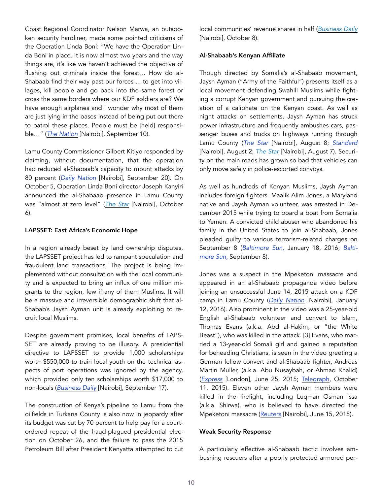Coast Regional Coordinator Nelson Marwa, an outspoken security hardliner, made some pointed criticisms of the Operation Linda Boni: "We have the Operation Linda Boni in place. It is now almost two years and the way things are, it's like we haven't achieved the objective of flushing out criminals inside the forest… How do al-Shabaab find their way past our forces ... to get into villages, kill people and go back into the same forest or cross the same borders where our KDF soldiers are? We have enough airplanes and I wonder why most of them are just lying in the bases instead of being put out there to patrol these places. People must be [held] responsible…" (*[The Nation](http://www.nation.co.ke/news/Marwa-hits-out-at-KDF-over-Linda-Boni-operation/1056-4089622-h53bo7/index.html)* [Nairobi], September 10).

Lamu County Commissioner Gilbert Kitiyo responded by claiming, without documentation, that the operation had reduced al-Shabaab's capacity to mount attacks by 80 percent (*[Daily Nation](http://www.nation.co.ke/counties/lamu/Operation-Linda-Boni-thumbs-up/3444912-4103270-10uck1rz/index.html)* [Nairobi], September 20). On October 5, Operation Linda Boni director Joseph Kanyiri announced the al-Shabaab presence in Lamu County was "almost at zero level" (*[The Star](https://www.the-star.co.ke/news/2017/10/06/shabaab-almost-zero-in-lamu-linda-boni-succeeding-says-boss_c1647428)* [Nairobi], October 6).

## LAPSSET: East Africa's Economic Hope

In a region already beset by land ownership disputes, the LAPSSET project has led to rampant speculation and fraudulent land transactions. The project is being implemented without consultation with the local community and is expected to bring an influx of one million migrants to the region, few if any of them Muslims. It will be a massive and irreversible demographic shift that al-Shabab's Jaysh Ayman unit is already exploiting to recruit local Muslims.

Despite government promises, local benefits of LAPS-SET are already proving to be illusory. A presidential directive to LAPSSET to provide 1,000 scholarships worth \$550,000 to train local youth on the technical aspects of port operations was ignored by the agency, which provided only ten scholarships worth \$17,000 to non-locals (*[Business Daily](http://www.businessdailyafrica.com/economy/Lapsset-on-the-spot-for-defying-President-on-scholarships/3946234-4100280-e25ccn/index.html)* [Nairobi], September 17).

The construction of Kenya's pipeline to Lamu from the oilfields in Turkana County is also now in jeopardy after its budget was cut by 70 percent to help pay for a courtordered repeat of the fraud-plagued presidential election on October 26, and the failure to pass the 2015 Petroleum Bill after President Kenyatta attempted to cut local communities' revenue shares in half (*[Business Daily](http://www.businessdailyafrica.com/news/Budget-cut--hits-plan-build-lamu-pipeline/539546-4130964-13qcwi1z/)* [Nairobi], October 8).

## Al-Shabaab's Kenyan Affiliate

Though directed by Somalia's al-Shabaab movement, Jaysh Ayman ("Army of the Faithful") presents itself as a local movement defending Swahili Muslims while fighting a corrupt Kenyan government and pursuing the creation of a caliphate on the Kenyan coast. As well as night attacks on settlements, Jaysh Ayman has struck power infrastructure and frequently ambushes cars, passenger buses and trucks on highways running through Lamu County (*[The Star](https://www.the-star.co.ke/news/2017/08/08/iebc-plans-in-lamu-in-disarray-as-shabaab-bombs-power-point_c1611855)* [Nairobi], August 8; *[Standard](https://www.standardmedia.co.ke/article/2001250121/three-killed-as-al-shabaab-attack-vehicles-in-lamu)* [Nairobi], August 2; *[The Star](https://www.the-star.co.ke/news/2017/08/07/cops-in-gun-exchange-with-al-shabaab-after-lamu-ied-attack_c1611666)* [Nairobi], August 7). Security on the main roads has grown so bad that vehicles can only move safely in police-escorted convoys.

As well as hundreds of Kenyan Muslims, Jaysh Ayman includes foreign fighters. Maalik Alim Jones, a Maryland native and Jaysh Ayman volunteer, was arrested in December 2015 while trying to board a boat from Somalia to Yemen. A convicted child abuser who abandoned his family in the United States to join al-Shabaab, Jones pleaded guilty to various terrorism-related charges on September 8 (*[Baltimore Sun](http://www.baltimoresun.com/news/maryland/bs-md-maalik-jones-al-shabbab-20160117-story.html)*, January 18, 2016; *[Balti](http://www.baltimoresun.com/news/maryland/crime/bs-md-maryland-terrorism-20170908-story.html)[more Sun,](http://www.baltimoresun.com/news/maryland/crime/bs-md-maryland-terrorism-20170908-story.html)* September 8).

Jones was a suspect in the Mpeketoni massacre and appeared in an al-Shabaab propaganda video before joining an unsuccessful June 14, 2015 attack on a KDF camp in Lamu County (*[Daily Nation](http://www.nation.co.ke/news/US-citizen-charged-Al-Shabaab-KDF-camp/1056-3029966-i3g2hv/index.html)* [Nairobi], January 12, 2016). Also prominent in the video was a 25-year-old English al-Shabaab volunteer and convert to Islam, Thomas Evans (a.k.a. Abd al-Hakim, or "the White Beast"), who was killed in the attack. [3] Evans, who married a 13-year-old Somali girl and gained a reputation for beheading Christians, is seen in the video greeting a German fellow convert and al-Shabaab fighter, Andreas Martin Muller, (a.k.a. Abu Nusaybah, or Ahmad Khalid) (*[Express](http://www.express.co.uk/news/world/586886/White-beast-killed-Kenya-fighting-Al-Shabaab)* [London], June 25, 2015; [Telegraph,](http://www.telegraph.co.uk/news/uknews/terrorism-in-the-uk/11925035/My-British-terrorist-son-is-burning-in-hell-for-his-crimes.html) October 11, 2015). Eleven other Jaysh Ayman members were killed in the firefight, including Luqman Osman Issa (a.k.a. Shirwa), who is believed to have directed the Mpeketoni massacre ([Reuters](http://www.reuters.com/article/us-kenya-attack/kenya-says-kills-al-shabaab-commander-and-possibly-militant-briton-idUSKBN0OV0QH20150615) [Nairobi], June 15, 2015).

## Weak Security Response

A particularly effective al-Shabaab tactic involves ambushing rescuers after a poorly protected armored per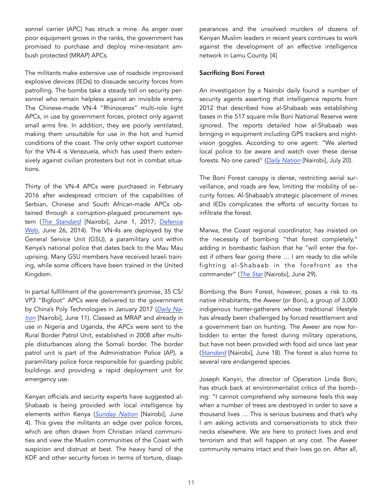sonnel carrier (APC) has struck a mine. As anger over poor equipment grows in the ranks, the government has promised to purchase and deploy mine-resistant ambush protected (MRAP) APCs.

The militants make extensive use of roadside improvised explosive devices (IEDs) to dissuade security forces from patrolling. The bombs take a steady toll on security personnel who remain helpless against an invisible enemy. The Chinese-made VN-4 "Rhinoceros" multi-role light APCs, in use by government forces, protect only against small arms fire. In addition, they are poorly ventilated, making them unsuitable for use in the hot and humid conditions of the coast. The only other export customer for the VN-4 is Venezuela, which has used them extensively against civilian protesters but not in combat situations.

Thirty of the VN-4 APCs were purchased in February 2016 after widespread criticism of the capabilities of Serbian, Chinese and South African-made APCs obtained through a corruption-plagued procurement system (*[The Standard](https://www.standardmedia.co.ke/article/2001241799/8-killed-as-armoured-vehicle-runs-over-explosives-in-lamu)* [Nairobi], June 1, 2017; [Defence](http://www.defenceweb.co.za/index.php?option=com_content&view=article&id=35245:kdf-faces-grilling-over-the-acquisition-of-faulty-armoured-vehicles&catid=50:Land&Itemid=105)  [Web,](http://www.defenceweb.co.za/index.php?option=com_content&view=article&id=35245:kdf-faces-grilling-over-the-acquisition-of-faulty-armoured-vehicles&catid=50:Land&Itemid=105) June 26, 2014). The VN-4s are deployed by the General Service Unit (GSU), a paramilitary unit within Kenya's national police that dates back to the Mau Mau uprising. Many GSU members have received Israeli training, while some officers have been trained in the United Kingdom.

In partial fulfillment of the government's promise, 35 CS/ VP3 "Bigfoot" APCs were delivered to the government by China's Poly Technologies in January 2017 (*[Daily Na](http://www.nation.co.ke/news/Anti-mines-vehicles-offer-protection-from-small-arms/1056-3965162-7cget2/index.html)[tion](http://www.nation.co.ke/news/Anti-mines-vehicles-offer-protection-from-small-arms/1056-3965162-7cget2/index.html)* [Nairobi], June 11). Classed as MRAP and already in use in Nigeria and Uganda, the APCs were sent to the Rural Border Patrol Unit, established in 2008 after multiple disturbances along the Somali border. The border patrol unit is part of the Administration Police (AP), a paramilitary police force responsible for guarding public buildings and providing a rapid deployment unit for emergency use.

Kenyan officials and security experts have suggested al-Shabaab is being provided with local intelligence by elements within Kenya (*[Sunday Nation](http://mobile.nation.co.ke/news/-Enemy-within--cited-in-series-of-terror-attacks/1950946-3954598-format-xhtml-lmx95nz/index.html)* [Nairobi], June 4). This gives the militants an edge over police forces, which are often drawn from Christian inland communities and view the Muslim communities of the Coast with suspicion and distrust at best. The heavy hand of the KDF and other security forces in terms of torture, disappearances and the unsolved murders of dozens of Kenyan Muslim leaders in recent years continues to work against the development of an effective intelligence network in Lamu County. [4]

## Sacrificing Boni Forest

An investigation by a Nairobi daily found a number of security agents asserting that intelligence reports from 2012 that described how al-Shabaab was establishing bases in the 517 square mile Boni National Reserve were ignored. The reports detailed how al-Shabaab was bringing in equipment including GPS trackers and nightvision goggles. According to one agent: "We alerted local police to be aware and watch over these dense forests. No one cared" (*[Daily Nation](http://www.nation.co.ke/news/Agencies--ignored-intelligence-reports--on--Shabaab--/1056-4023478-12vodwo/index.html)* [Nairobi], July 20).

The Boni Forest canopy is dense, restricting aerial surveillance, and roads are few, limiting the mobility of security forces. Al-Shabaab's strategic placement of mines and IEDs complicates the efforts of security forces to infiltrate the forest.

Marwa, the Coast regional coordinator, has insisted on the necessity of bombing "that forest completely," adding in bombastic fashion that he "will enter the forest if others fear going there … I am ready to die while fighting al-Shabaab in the forefront as the commander" (*[The Star](https://www.the-star.co.ke/news/2017/06/29/marwa-threatens-to-bomb-boni-forest-says-ready-to-die-in-war-on-al_c1588106)* [Nairobi], June 29).

Bombing the Boni Forest, however, poses a risk to its native inhabitants, the Aweer (or Boni), a group of 3,000 indigenous hunter-gatherers whose traditional lifestyle has already been challenged by forced resettlement and a government ban on hunting. The Aweer are now forbidden to enter the forest during military operations, but have not been provided with food aid since last year (*[Standard](https://www.standardmedia.co.ke/article/2001243919/mixed-fortunes-of-operation-linda-boni-as-locals-cry-foul)* [Nairobi], June 18). The forest is also home to several rare endangered species.

Joseph Kanyiri, the director of Operation Linda Boni, has struck back at environmentalist critics of the bombing: "I cannot comprehend why someone feels this way when a number of trees are destroyed in order to save a thousand lives … This is serious business and that's why I am asking activists and conservationists to stick their necks elsewhere. We are here to protect lives and end terrorism and that will happen at any cost. The Aweer community remains intact and their lives go on. After all,